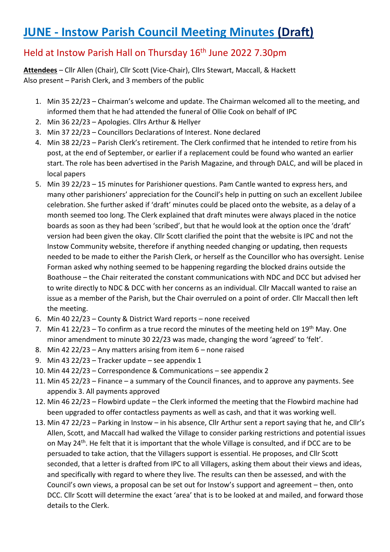# **JUNE - Instow Parish Council Meeting Minutes (Draft)**

# Held at Instow Parish Hall on Thursday 16th June 2022 7.30pm

**Attendees** – Cllr Allen (Chair), Cllr Scott (Vice-Chair), Cllrs Stewart, Maccall, & Hackett Also present – Parish Clerk, and 3 members of the public

- 1. Min 35 22/23 Chairman's welcome and update. The Chairman welcomed all to the meeting, and informed them that he had attended the funeral of Ollie Cook on behalf of IPC
- 2. Min 36 22/23 Apologies. Cllrs Arthur & Hellyer
- 3. Min 37 22/23 Councillors Declarations of Interest. None declared
- 4. Min 38 22/23 Parish Clerk's retirement. The Clerk confirmed that he intended to retire from his post, at the end of September, or earlier if a replacement could be found who wanted an earlier start. The role has been advertised in the Parish Magazine, and through DALC, and will be placed in local papers
- 5. Min 39 22/23 15 minutes for Parishioner questions. Pam Cantle wanted to express hers, and many other parishioners' appreciation for the Council's help in putting on such an excellent Jubilee celebration. She further asked if 'draft' minutes could be placed onto the website, as a delay of a month seemed too long. The Clerk explained that draft minutes were always placed in the notice boards as soon as they had been 'scribed', but that he would look at the option once the 'draft' version had been given the okay. Cllr Scott clarified the point that the website is IPC and not the Instow Community website, therefore if anything needed changing or updating, then requests needed to be made to either the Parish Clerk, or herself as the Councillor who has oversight. Lenise Forman asked why nothing seemed to be happening regarding the blocked drains outside the Boathouse – the Chair reiterated the constant communications with NDC and DCC but advised her to write directly to NDC & DCC with her concerns as an individual. Cllr Maccall wanted to raise an issue as a member of the Parish, but the Chair overruled on a point of order. Cllr Maccall then left the meeting.
- 6. Min 40 22/23 County & District Ward reports none received
- 7. Min 41 22/23 To confirm as a true record the minutes of the meeting held on  $19<sup>th</sup>$  May. One minor amendment to minute 30 22/23 was made, changing the word 'agreed' to 'felt'.
- 8. Min 42 22/23 Any matters arising from item 6 none raised
- 9. Min 43 22/23 Tracker update see appendix 1
- 10. Min 44 22/23 Correspondence & Communications see appendix 2
- 11. Min 45 22/23 Finance a summary of the Council finances, and to approve any payments. See appendix 3. All payments approved
- 12. Min 46 22/23 Flowbird update the Clerk informed the meeting that the Flowbird machine had been upgraded to offer contactless payments as well as cash, and that it was working well.
- 13. Min 47 22/23 Parking in Instow in his absence, Cllr Arthur sent a report saying that he, and Cllr's Allen, Scott, and Maccall had walked the Village to consider parking restrictions and potential issues on May 24<sup>th</sup>. He felt that it is important that the whole Village is consulted, and if DCC are to be persuaded to take action, that the Villagers support is essential. He proposes, and Cllr Scott seconded, that a letter is drafted from IPC to all Villagers, asking them about their views and ideas, and specifically with regard to where they live. The results can then be assessed, and with the Council's own views, a proposal can be set out for Instow's support and agreement – then, onto DCC. Cllr Scott will determine the exact 'area' that is to be looked at and mailed, and forward those details to the Clerk.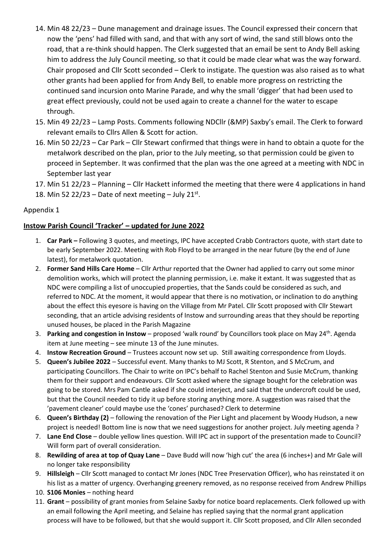- 14. Min 48 22/23 Dune management and drainage issues. The Council expressed their concern that now the 'pens' had filled with sand, and that with any sort of wind, the sand still blows onto the road, that a re-think should happen. The Clerk suggested that an email be sent to Andy Bell asking him to address the July Council meeting, so that it could be made clear what was the way forward. Chair proposed and Cllr Scott seconded – Clerk to instigate. The question was also raised as to what other grants had been applied for from Andy Bell, to enable more progress on restricting the continued sand incursion onto Marine Parade, and why the small 'digger' that had been used to great effect previously, could not be used again to create a channel for the water to escape through.
- 15. Min 49 22/23 Lamp Posts. Comments following NDCllr (&MP) Saxby's email. The Clerk to forward relevant emails to Cllrs Allen & Scott for action.
- 16. Min 50 22/23 Car Park Cllr Stewart confirmed that things were in hand to obtain a quote for the metalwork described on the plan, prior to the July meeting, so that permission could be given to proceed in September. It was confirmed that the plan was the one agreed at a meeting with NDC in September last year
- 17. Min 51 22/23 Planning Cllr Hackett informed the meeting that there were 4 applications in hand
- 18. Min 52 22/23 Date of next meeting July 21st.

## Appendix 1

## **Instow Parish Council 'Tracker' – updated for June 2022**

- 1. **Car Park –** Following 3 quotes, and meetings, IPC have accepted Crabb Contractors quote, with start date to be early September 2022. Meeting with Rob Floyd to be arranged in the near future (by the end of June latest), for metalwork quotation.
- 2. **Former Sand Hills Care Home** Cllr Arthur reported that the Owner had applied to carry out some minor demolition works, which will protect the planning permission, i.e. make it extant. It was suggested that as NDC were compiling a list of unoccupied properties, that the Sands could be considered as such, and referred to NDC. At the moment, it would appear that there is no motivation, or inclination to do anything about the effect this eyesore is having on the Village from Mr Patel. Cllr Scott proposed with Cllr Stewart seconding, that an article advising residents of Instow and surrounding areas that they should be reporting unused houses, be placed in the Parish Magazine
- 3. **Parking and congestion in Instow**  proposed 'walk round' by Councillors took place on May 24th. Agenda item at June meeting – see minute 13 of the June minutes.
- 4. **Instow Recreation Ground**  Trustees account now set up. Still awaiting correspondence from Lloyds.
- 5. **Queen's Jubilee 2022** Successful event. Many thanks to MJ Scott, R Stenton, and S McCrum, and participating Councillors. The Chair to write on IPC's behalf to Rachel Stenton and Susie McCrum, thanking them for their support and endeavours. Cllr Scott asked where the signage bought for the celebration was going to be stored. Mrs Pam Cantle asked if she could interject, and said that the undercroft could be used, but that the Council needed to tidy it up before storing anything more. A suggestion was raised that the 'pavement cleaner' could maybe use the 'cones' purchased? Clerk to determine
- 6. **Queen's Birthday (2)** following the renovation of the Pier Light and placement by Woody Hudson, a new project is needed! Bottom line is now that we need suggestions for another project. July meeting agenda ?
- 7. **Lane End Close**  double yellow lines question. Will IPC act in support of the presentation made to Council? Will form part of overall consideration.
- 8. **Rewilding of area at top of Quay Lane**  Dave Budd will now 'high cut' the area (6 inches+) and Mr Gale will no longer take responsibility
- 9. **Hillsleigh**  Cllr Scott managed to contact Mr Jones (NDC Tree Preservation Officer), who has reinstated it on his list as a matter of urgency. Overhanging greenery removed, as no response received from Andrew Phillips
- 10. **S106 Monies** nothing heard
- 11. **Grant**  possibility of grant monies from Selaine Saxby for notice board replacements. Clerk followed up with an email following the April meeting, and Selaine has replied saying that the normal grant application process will have to be followed, but that she would support it. Cllr Scott proposed, and Cllr Allen seconded